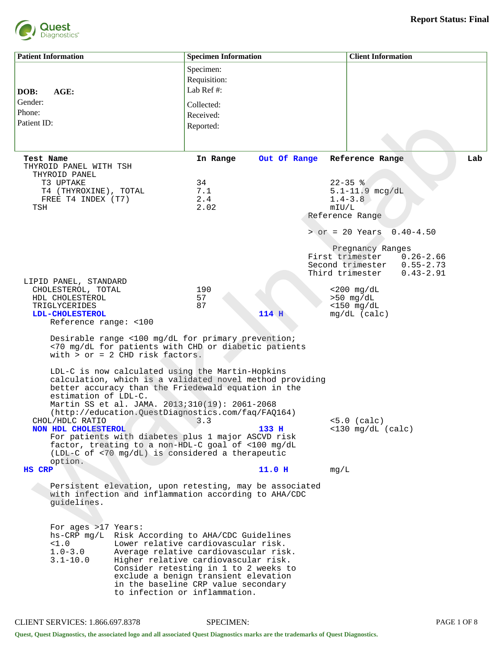

| <b>Patient Information</b>                                                                                                                                                                                                                                                                                                                                                                      | <b>Specimen Information</b> |              |       | <b>Client Information</b>             |               |     |
|-------------------------------------------------------------------------------------------------------------------------------------------------------------------------------------------------------------------------------------------------------------------------------------------------------------------------------------------------------------------------------------------------|-----------------------------|--------------|-------|---------------------------------------|---------------|-----|
|                                                                                                                                                                                                                                                                                                                                                                                                 | Specimen:                   |              |       |                                       |               |     |
|                                                                                                                                                                                                                                                                                                                                                                                                 | Requisition:                |              |       |                                       |               |     |
| AGE:<br>DOB:                                                                                                                                                                                                                                                                                                                                                                                    | Lab Ref #:                  |              |       |                                       |               |     |
| Gender:                                                                                                                                                                                                                                                                                                                                                                                         | Collected:                  |              |       |                                       |               |     |
| Phone:                                                                                                                                                                                                                                                                                                                                                                                          | Received:                   |              |       |                                       |               |     |
| Patient ID:                                                                                                                                                                                                                                                                                                                                                                                     | Reported:                   |              |       |                                       |               |     |
|                                                                                                                                                                                                                                                                                                                                                                                                 |                             |              |       |                                       |               |     |
|                                                                                                                                                                                                                                                                                                                                                                                                 |                             |              |       |                                       |               |     |
| Test Name<br>THYROID PANEL WITH TSH<br>THYROID PANEL                                                                                                                                                                                                                                                                                                                                            | In Range                    | Out Of Range |       | Reference Range                       |               | Lab |
| T3 UPTAKE                                                                                                                                                                                                                                                                                                                                                                                       | 34                          |              |       | $22 - 35$ %                           |               |     |
| T4 (THYROXINE), TOTAL<br>FREE T4 INDEX (T7)                                                                                                                                                                                                                                                                                                                                                     | 7.1<br>2.4                  |              |       | $5.1 - 11.9$ mcg/dL<br>$1.4 - 3.8$    |               |     |
| TSH                                                                                                                                                                                                                                                                                                                                                                                             | 2.02                        |              | mIU/L |                                       |               |     |
|                                                                                                                                                                                                                                                                                                                                                                                                 |                             |              |       | Reference Range                       |               |     |
|                                                                                                                                                                                                                                                                                                                                                                                                 |                             |              |       | $>$ or = 20 Years                     | $0.40 - 4.50$ |     |
|                                                                                                                                                                                                                                                                                                                                                                                                 |                             |              |       | Pregnancy Ranges                      |               |     |
|                                                                                                                                                                                                                                                                                                                                                                                                 |                             |              |       | First trimester                       | $0.26 - 2.66$ |     |
|                                                                                                                                                                                                                                                                                                                                                                                                 |                             |              |       | Second trimester                      | $0.55 - 2.73$ |     |
| LIPID PANEL, STANDARD                                                                                                                                                                                                                                                                                                                                                                           |                             |              |       | Third trimester                       | $0.43 - 2.91$ |     |
| CHOLESTEROL, TOTAL                                                                                                                                                                                                                                                                                                                                                                              | 190                         |              |       | $<$ 200 mg/dL                         |               |     |
| HDL CHOLESTEROL                                                                                                                                                                                                                                                                                                                                                                                 | 57                          |              |       | $>50$ mg/dL                           |               |     |
| TRIGLYCERIDES                                                                                                                                                                                                                                                                                                                                                                                   | 87                          |              |       | $<$ 150 mg/dL                         |               |     |
| LDL-CHOLESTEROL<br>Reference range: <100                                                                                                                                                                                                                                                                                                                                                        |                             | 114 H        |       | $mg/dL$ (calc)                        |               |     |
| Desirable range <100 mg/dL for primary prevention;<br><70 mg/dL for patients with CHD or diabetic patients<br>with $>$ or = 2 CHD risk factors.                                                                                                                                                                                                                                                 |                             |              |       |                                       |               |     |
| LDL-C is now calculated using the Martin-Hopkins<br>calculation, which is a validated novel method providing<br>better accuracy than the Friedewald equation in the<br>estimation of LDL-C.<br>Martin SS et al. JAMA. 2013;310(19): 2061-2068<br>(http://education.QuestDiagnostics.com/faq/FAQ164)<br>CHOL/HDLC RATIO<br>NON HDL CHOLESTEROL                                                   | 3.3                         | 133 H        |       | $<5.0$ (calc)<br>$<$ 130 mg/dL (calc) |               |     |
| For patients with diabetes plus 1 major ASCVD risk<br>factor, treating to a non-HDL-C goal of <100 mg/dL<br>(LDL-C of <70 mg/dL) is considered a therapeutic<br>option.                                                                                                                                                                                                                         |                             |              |       |                                       |               |     |
| <b>HS CRP</b>                                                                                                                                                                                                                                                                                                                                                                                   |                             | 11.0 H       | mq/L  |                                       |               |     |
| Persistent elevation, upon retesting, may be associated<br>with infection and inflammation according to AHA/CDC<br>guidelines.                                                                                                                                                                                                                                                                  |                             |              |       |                                       |               |     |
| For ages >17 Years:<br>hs-CRP mg/L Risk According to AHA/CDC Guidelines<br><1.0<br>Lower relative cardiovascular risk.<br>$1.0 - 3.0$<br>Average relative cardiovascular risk.<br>$3.1 - 10.0$<br>Higher relative cardiovascular risk.<br>Consider retesting in 1 to 2 weeks to<br>exclude a benign transient elevation<br>in the baseline CRP value secondary<br>to infection or inflammation. |                             |              |       |                                       |               |     |

Quest, Quest Diagnostics, the associated logo and all associated Quest Diagnostics marks are the trademarks of Quest Diagnostics.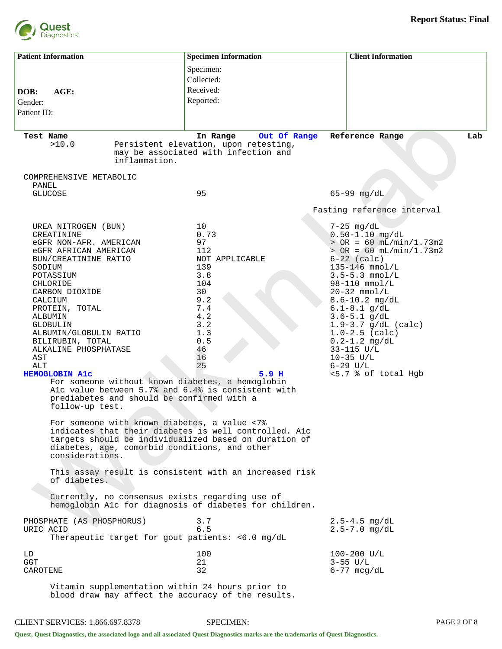

| <b>Patient Information</b>                                                                                                                                                                                                                                                                                                                                                               |                                            | <b>Specimen Information</b>                                                                                                                                                                                                                                                                                                                                                                                                                                                                                                                                                                                                                              | <b>Client Information</b>                                                                                                                                                                                                                                                                                                                                                                                         |     |
|------------------------------------------------------------------------------------------------------------------------------------------------------------------------------------------------------------------------------------------------------------------------------------------------------------------------------------------------------------------------------------------|--------------------------------------------|----------------------------------------------------------------------------------------------------------------------------------------------------------------------------------------------------------------------------------------------------------------------------------------------------------------------------------------------------------------------------------------------------------------------------------------------------------------------------------------------------------------------------------------------------------------------------------------------------------------------------------------------------------|-------------------------------------------------------------------------------------------------------------------------------------------------------------------------------------------------------------------------------------------------------------------------------------------------------------------------------------------------------------------------------------------------------------------|-----|
| DOB:<br>AGE:<br>Gender:<br>Patient ID:                                                                                                                                                                                                                                                                                                                                                   |                                            | Specimen:<br>Collected:<br>Received:<br>Reported:                                                                                                                                                                                                                                                                                                                                                                                                                                                                                                                                                                                                        |                                                                                                                                                                                                                                                                                                                                                                                                                   |     |
| Test Name<br>>10.0                                                                                                                                                                                                                                                                                                                                                                       | inflammation.                              | In Range<br>Out Of Range<br>Persistent elevation, upon retesting,<br>may be associated with infection and                                                                                                                                                                                                                                                                                                                                                                                                                                                                                                                                                | Reference Range                                                                                                                                                                                                                                                                                                                                                                                                   | Lab |
| COMPREHENSIVE METABOLIC<br>PANEL<br><b>GLUCOSE</b>                                                                                                                                                                                                                                                                                                                                       |                                            | 95                                                                                                                                                                                                                                                                                                                                                                                                                                                                                                                                                                                                                                                       | $65 - 99$ mg/dL<br>Fasting reference interval                                                                                                                                                                                                                                                                                                                                                                     |     |
| UREA NITROGEN (BUN)<br>CREATININE<br>eGFR NON-AFR. AMERICAN<br>eGFR AFRICAN AMERICAN<br>BUN/CREATININE RATIO<br>SODIUM<br>POTASSIUM<br>CHLORIDE<br>CARBON DIOXIDE<br>CALCIUM<br>PROTEIN, TOTAL<br>ALBUMIN<br>GLOBULIN<br>ALBUMIN/GLOBULIN RATIO<br>BILIRUBIN, TOTAL<br>ALKALINE PHOSPHATASE<br>AST<br>ALT<br><b>HEMOGLOBIN A1c</b><br>follow-up test.<br>considerations.<br>of diabetes. | prediabetes and should be confirmed with a | 10<br>0.73<br>97<br>112<br>NOT APPLICABLE<br>139<br>3.8<br>104<br>30<br>9.2<br>7.4<br>4.2<br>3.2<br>1.3<br>0.5<br>46<br>16<br>25<br>5.9 <sub>H</sub><br>For someone without known diabetes, a hemoglobin<br>Alc value between 5.7% and 6.4% is consistent with<br>For someone with known diabetes, a value <7%<br>indicates that their diabetes is well controlled. Alc<br>targets should be individualized based on duration of<br>diabetes, age, comorbid conditions, and other<br>This assay result is consistent with an increased risk<br>Currently, no consensus exists regarding use of<br>hemoglobin Alc for diagnosis of diabetes for children. | $7-25$ mg/dL<br>$0.50 - 1.10$ mg/dL<br>$>$ OR = 60 mL/min/1.73m2<br>$>$ OR = 60 mL/min/1.73m2<br>$6-22$ (calc)<br>135-146 mmol/L<br>$3.5 - 5.3$ mmol/L<br>$98 - 110$ mmol/L<br>$20-32$ mmol/L<br>$8.6 - 10.2$ mg/dL<br>$6.1 - 8.1$ g/dL<br>$3.6 - 5.1$ g/dL<br>$1.9 - 3.7$ g/dL (calc)<br>$1.0 - 2.5$ (calc)<br>$0.2 - 1.2$ mg/dL<br>$33 - 115$ $U/L$<br>$10 - 35$ $U/L$<br>$6 - 29$ $U/L$<br><5.7 % of total Hgb |     |
| PHOSPHATE (AS PHOSPHORUS)<br>URIC ACID                                                                                                                                                                                                                                                                                                                                                   |                                            | 3.7<br>6.5<br>Therapeutic target for gout patients: <6.0 mg/dL                                                                                                                                                                                                                                                                                                                                                                                                                                                                                                                                                                                           | $2.5 - 4.5$ mg/dL<br>$2.5 - 7.0$ mg/dL                                                                                                                                                                                                                                                                                                                                                                            |     |
| LD<br><b>GGT</b><br>CAROTENE                                                                                                                                                                                                                                                                                                                                                             |                                            | 100<br>21<br>32                                                                                                                                                                                                                                                                                                                                                                                                                                                                                                                                                                                                                                          | $100 - 200$ U/L<br>$3 - 55$ U/L<br>$6 - 77$ mcg/dL                                                                                                                                                                                                                                                                                                                                                                |     |
|                                                                                                                                                                                                                                                                                                                                                                                          |                                            | Vitamin supplementation within 24 hours prior to                                                                                                                                                                                                                                                                                                                                                                                                                                                                                                                                                                                                         |                                                                                                                                                                                                                                                                                                                                                                                                                   |     |

blood draw may affect the accuracy of the results.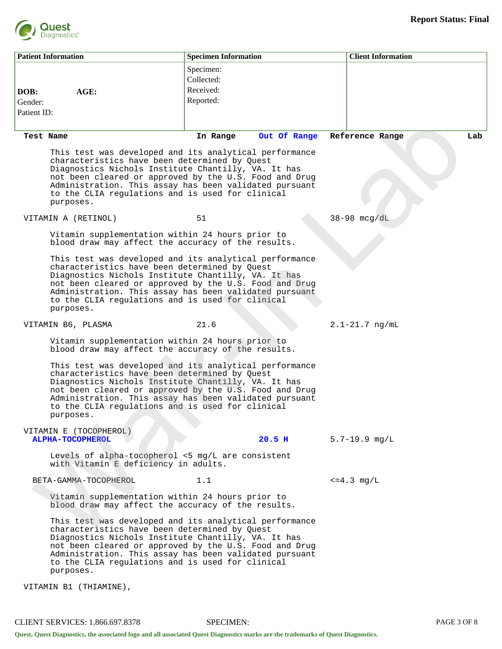

| <b>Patient Information</b>             | <b>Specimen Information</b>                                                                                                                                                                                                                                                                                                            |              | <b>Client Information</b> |
|----------------------------------------|----------------------------------------------------------------------------------------------------------------------------------------------------------------------------------------------------------------------------------------------------------------------------------------------------------------------------------------|--------------|---------------------------|
| AGE:<br>DOB:<br>Gender:<br>Patient ID: | Specimen:<br>Collected:<br>Received:<br>Reported:                                                                                                                                                                                                                                                                                      |              |                           |
| Test Name                              | In Range                                                                                                                                                                                                                                                                                                                               | Out Of Range | Lab<br>Reference Range    |
| purposes.                              | This test was developed and its analytical performance<br>characteristics have been determined by Quest<br>Diagnostics Nichols Institute Chantilly, VA. It has<br>not been cleared or approved by the U.S. Food and Drug<br>Administration. This assay has been validated pursuant<br>to the CLIA regulations and is used for clinical |              |                           |
| VITAMIN A (RETINOL)                    | 51                                                                                                                                                                                                                                                                                                                                     |              | $38-98$ mcg/dL            |
|                                        | Vitamin supplementation within 24 hours prior to<br>blood draw may affect the accuracy of the results.                                                                                                                                                                                                                                 |              |                           |
| purposes.                              | This test was developed and its analytical performance<br>characteristics have been determined by Quest<br>Diagnostics Nichols Institute Chantilly, VA. It has<br>not been cleared or approved by the U.S. Food and Drug<br>Administration. This assay has been validated pursuant<br>to the CLIA regulations and is used for clinical |              |                           |
| VITAMIN B6, PLASMA                     | 21.6                                                                                                                                                                                                                                                                                                                                   |              | $2.1 - 21.7$ ng/mL        |
|                                        | Vitamin supplementation within 24 hours prior to<br>blood draw may affect the accuracy of the results.                                                                                                                                                                                                                                 |              |                           |
| purposes.                              | This test was developed and its analytical performance<br>characteristics have been determined by Quest<br>Diagnostics Nichols Institute Chantilly, VA. It has<br>not been cleared or approved by the U.S. Food and Drug<br>Administration. This assay has been validated pursuant<br>to the CLIA regulations and is used for clinical |              |                           |
| VITAMIN E (TOCOPHEROL)                 |                                                                                                                                                                                                                                                                                                                                        |              |                           |
| <b>ALPHA-TOCOPHEROL</b>                | Levels of alpha-tocopherol <5 mg/L are consistent<br>with Vitamin E deficiency in adults.                                                                                                                                                                                                                                              | $20.5$ H     | $5.7 - 19.9$ mg/L         |
| BETA-GAMMA-TOCOPHEROL                  | 1.1                                                                                                                                                                                                                                                                                                                                    |              | $\leq$ = 4.3 mg/L         |
|                                        | Vitamin supplementation within 24 hours prior to<br>blood draw may affect the accuracy of the results.                                                                                                                                                                                                                                 |              |                           |
| purposes.                              | This test was developed and its analytical performance<br>characteristics have been determined by Quest<br>Diagnostics Nichols Institute Chantilly, VA. It has<br>not been cleared or approved by the U.S. Food and Drug<br>Administration. This assay has been validated pursuant<br>to the CLIA regulations and is used for clinical |              |                           |
| VITAMIN B1 (THIAMINE),                 |                                                                                                                                                                                                                                                                                                                                        |              |                           |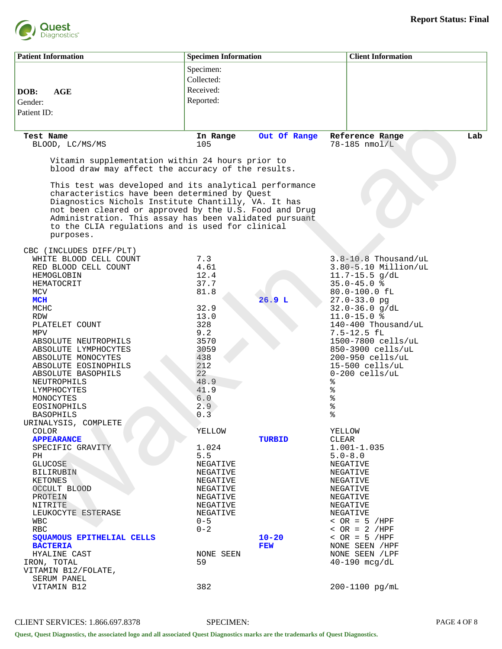

| <b>Patient Information</b>                                                                                                                                                                                                                                                                                                                          | <b>Specimen Information</b> |               | <b>Client Information</b>               |     |
|-----------------------------------------------------------------------------------------------------------------------------------------------------------------------------------------------------------------------------------------------------------------------------------------------------------------------------------------------------|-----------------------------|---------------|-----------------------------------------|-----|
|                                                                                                                                                                                                                                                                                                                                                     | Specimen:                   |               |                                         |     |
|                                                                                                                                                                                                                                                                                                                                                     | Collected:                  |               |                                         |     |
|                                                                                                                                                                                                                                                                                                                                                     |                             |               |                                         |     |
| AGE<br>DOB:                                                                                                                                                                                                                                                                                                                                         | Received:                   |               |                                         |     |
| Gender:                                                                                                                                                                                                                                                                                                                                             | Reported:                   |               |                                         |     |
| Patient ID:                                                                                                                                                                                                                                                                                                                                         |                             |               |                                         |     |
|                                                                                                                                                                                                                                                                                                                                                     |                             |               |                                         |     |
| Test Name                                                                                                                                                                                                                                                                                                                                           | In Range                    | Out Of Range  | Reference Range                         | Lab |
| BLOOD, LC/MS/MS                                                                                                                                                                                                                                                                                                                                     | 105                         |               | $78 - 185$ nmol/L                       |     |
| Vitamin supplementation within 24 hours prior to<br>blood draw may affect the accuracy of the results.                                                                                                                                                                                                                                              |                             |               |                                         |     |
| This test was developed and its analytical performance<br>characteristics have been determined by Quest<br>Diagnostics Nichols Institute Chantilly, VA. It has<br>not been cleared or approved by the U.S. Food and Drug<br>Administration. This assay has been validated pursuant<br>to the CLIA regulations and is used for clinical<br>purposes. |                             |               |                                         |     |
| CBC (INCLUDES DIFF/PLT)                                                                                                                                                                                                                                                                                                                             |                             |               |                                         |     |
| WHITE BLOOD CELL COUNT                                                                                                                                                                                                                                                                                                                              | 7.3                         |               | $3.8 - 10.8$ Thousand/uL                |     |
| RED BLOOD CELL COUNT                                                                                                                                                                                                                                                                                                                                | 4.61                        |               | $3.80 - 5.10$ Million/uL                |     |
| HEMOGLOBIN                                                                                                                                                                                                                                                                                                                                          | 12.4                        |               | $11.7 - 15.5$ g/dL                      |     |
| HEMATOCRIT                                                                                                                                                                                                                                                                                                                                          | 37.7                        |               | $35.0 - 45.0$ %                         |     |
| MCV                                                                                                                                                                                                                                                                                                                                                 | 81.8                        |               | 80.0-100.0 fL                           |     |
| MCH                                                                                                                                                                                                                                                                                                                                                 |                             | 26.9L         | $27.0 - 33.0$ pg                        |     |
| MCHC                                                                                                                                                                                                                                                                                                                                                | 32.9                        |               | $32.0 - 36.0$ g/dL                      |     |
| <b>RDW</b>                                                                                                                                                                                                                                                                                                                                          | 13.0                        |               | $11.0 - 15.0$ %                         |     |
| PLATELET COUNT                                                                                                                                                                                                                                                                                                                                      | 328                         |               | 140-400 Thousand/uL                     |     |
| MPV                                                                                                                                                                                                                                                                                                                                                 | 9.2                         |               | $7.5 - 12.5$ fl                         |     |
| ABSOLUTE NEUTROPHILS                                                                                                                                                                                                                                                                                                                                | 3570<br>3059                |               | 1500-7800 cells/uL<br>850-3900 cells/uL |     |
| ABSOLUTE LYMPHOCYTES<br>ABSOLUTE MONOCYTES                                                                                                                                                                                                                                                                                                          | 438                         |               | 200-950 cells/uL                        |     |
| ABSOLUTE EOSINOPHILS                                                                                                                                                                                                                                                                                                                                | 212                         |               | $15-500$ cells/uL                       |     |
| ABSOLUTE BASOPHILS                                                                                                                                                                                                                                                                                                                                  | 22                          |               | $0-200$ cells/uL                        |     |
| NEUTROPHILS                                                                                                                                                                                                                                                                                                                                         | 48.9                        |               | ៖                                       |     |
| LYMPHOCYTES                                                                                                                                                                                                                                                                                                                                         | 41.9                        |               | ್ಠಿ                                     |     |
| MONOCYTES                                                                                                                                                                                                                                                                                                                                           | 6.0                         |               | ್ಯೆ                                     |     |
| EOSINOPHILS                                                                                                                                                                                                                                                                                                                                         | 2.9                         |               | နွ                                      |     |
| <b>BASOPHILS</b>                                                                                                                                                                                                                                                                                                                                    | 0.3                         |               | %                                       |     |
| URINALYSIS, COMPLETE                                                                                                                                                                                                                                                                                                                                |                             |               |                                         |     |
| COLOR                                                                                                                                                                                                                                                                                                                                               | YELLOW                      |               | YELLOW                                  |     |
| <b>APPEARANCE</b>                                                                                                                                                                                                                                                                                                                                   |                             | <b>TURBID</b> | CLEAR                                   |     |
| SPECIFIC GRAVITY                                                                                                                                                                                                                                                                                                                                    | 1.024                       |               | $1.001 - 1.035$                         |     |
| PH                                                                                                                                                                                                                                                                                                                                                  | 5.5                         |               | $5.0 - 8.0$                             |     |
| <b>GLUCOSE</b>                                                                                                                                                                                                                                                                                                                                      | NEGATIVE                    |               | NEGATIVE                                |     |
| <b>BILIRUBIN</b>                                                                                                                                                                                                                                                                                                                                    | NEGATIVE<br>NEGATIVE        |               | NEGATIVE                                |     |
| KETONES<br>OCCULT BLOOD                                                                                                                                                                                                                                                                                                                             | NEGATIVE                    |               | NEGATIVE<br>NEGATIVE                    |     |
| PROTEIN                                                                                                                                                                                                                                                                                                                                             | NEGATIVE                    |               | NEGATIVE                                |     |
| NITRITE                                                                                                                                                                                                                                                                                                                                             | NEGATIVE                    |               | NEGATIVE                                |     |
| LEUKOCYTE ESTERASE                                                                                                                                                                                                                                                                                                                                  | NEGATIVE                    |               | NEGATIVE                                |     |
| <b>WBC</b>                                                                                                                                                                                                                                                                                                                                          | $0 - 5$                     |               | $\angle$ OR = 5 /HPF                    |     |
| <b>RBC</b>                                                                                                                                                                                                                                                                                                                                          | $0 - 2$                     |               | $\angle$ OR = 2 /HPF                    |     |
| SQUAMOUS EPITHELIAL CELLS                                                                                                                                                                                                                                                                                                                           |                             | $10 - 20$     | $\texttt{&}$ OR = 5 /HPF                |     |
| <b>BACTERIA</b>                                                                                                                                                                                                                                                                                                                                     |                             | FEW           | NONE SEEN / HPF                         |     |
| HYALINE CAST                                                                                                                                                                                                                                                                                                                                        | NONE SEEN                   |               | NONE SEEN / LPF                         |     |
| IRON, TOTAL                                                                                                                                                                                                                                                                                                                                         | 59                          |               | $40 - 190$ mcg/dL                       |     |
| VITAMIN B12/FOLATE,                                                                                                                                                                                                                                                                                                                                 |                             |               |                                         |     |
| SERUM PANEL                                                                                                                                                                                                                                                                                                                                         |                             |               |                                         |     |
| VITAMIN B12                                                                                                                                                                                                                                                                                                                                         | 382                         |               | 200-1100 pg/mL                          |     |

CLIENT SERVICES: 1.866.697.8378 SPECIMEN: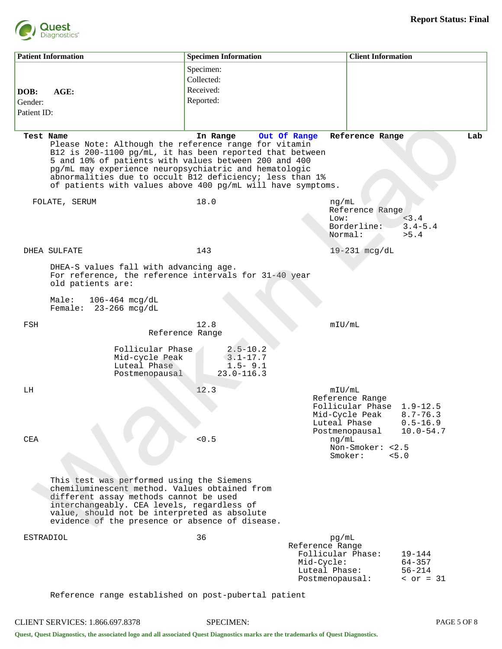

|                                | <b>Patient Information</b>                                                                                                                                                                                                                                                                                                                                                  | <b>Specimen Information</b>                                                              |                                                                                                 | <b>Client Information</b>                                                                   |                                                               |     |
|--------------------------------|-----------------------------------------------------------------------------------------------------------------------------------------------------------------------------------------------------------------------------------------------------------------------------------------------------------------------------------------------------------------------------|------------------------------------------------------------------------------------------|-------------------------------------------------------------------------------------------------|---------------------------------------------------------------------------------------------|---------------------------------------------------------------|-----|
| DOB:<br>Gender:<br>Patient ID: | AGE:                                                                                                                                                                                                                                                                                                                                                                        | Specimen:<br>Collected:<br>Received:<br>Reported:                                        |                                                                                                 |                                                                                             |                                                               |     |
|                                | Test Name<br>Please Note: Although the reference range for vitamin<br>B12 is 200-1100 pg/mL, it has been reported that between<br>5 and 10% of patients with values between 200 and 400<br>pg/mL may experience neuropsychiatric and hematologic<br>abnormalities due to occult B12 deficiency; less than 1%<br>of patients with values above 400 pg/mL will have symptoms. | In Range                                                                                 | Out Of Range                                                                                    | Reference Range                                                                             |                                                               | Lab |
|                                | FOLATE, SERUM                                                                                                                                                                                                                                                                                                                                                               | 18.0                                                                                     | ng/mL<br>Low:<br>Normal:                                                                        | Reference Range<br>Borderline:                                                              | 3.4<br>$3.4 - 5.4$<br>> 5.4                                   |     |
|                                | DHEA SULFATE<br>DHEA-S values fall with advancing age.<br>For reference, the reference intervals for 31-40 year<br>old patients are:<br>Male:<br>$106 - 464$ mcg/dL<br>Female: $23-266$ mcg/dL                                                                                                                                                                              | 143                                                                                      |                                                                                                 | $19-231$ mcg/dL                                                                             |                                                               |     |
| FSH                            | Follicular Phase<br>Mid-cycle Peak<br>Luteal Phase<br>Postmenopausal                                                                                                                                                                                                                                                                                                        | 12.8<br>Reference Range<br>$2.5 - 10.2$<br>$3.1 - 17.7$<br>$1.5 - 9.1$<br>$23.0 - 116.3$ | mIU/mL                                                                                          |                                                                                             |                                                               |     |
| LH<br><b>CEA</b>               |                                                                                                                                                                                                                                                                                                                                                                             | 12.3<br>< 0.5                                                                            | mIU/mL<br>Luteal Phase<br>ng/mL                                                                 | Reference Range<br>Follicular Phase<br>Mid-Cycle Peak<br>Postmenopausal<br>Non-Smoker: <2.5 | $1.9 - 12.5$<br>$8.7 - 76.3$<br>$0.5 - 16.9$<br>$10.0 - 54.7$ |     |
|                                | This test was performed using the Siemens<br>chemiluminescent method. Values obtained from<br>different assay methods cannot be used<br>interchangeably. CEA levels, regardless of<br>value, should not be interpreted as absolute<br>evidence of the presence or absence of disease.                                                                                       |                                                                                          |                                                                                                 | Smoker:                                                                                     | 5.0                                                           |     |
|                                | ESTRADIOL                                                                                                                                                                                                                                                                                                                                                                   | 36                                                                                       | pg/mL<br>Reference Range<br>Follicular Phase:<br>Mid-Cycle:<br>Luteal Phase:<br>Postmenopausal: |                                                                                             | $19 - 144$<br>$64 - 357$<br>$56 - 214$<br>$over = 31$         |     |
|                                | Reference range established on post-pubertal patient                                                                                                                                                                                                                                                                                                                        |                                                                                          |                                                                                                 |                                                                                             |                                                               |     |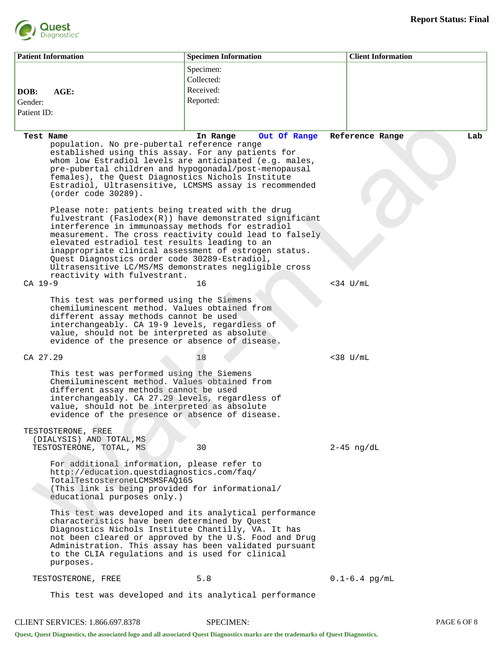

|                        | <b>Patient Information</b>                                                                                                                                                                                                                                                                                                                                 | <b>Specimen Information</b>                                                                                            | <b>Client Information</b> |  |
|------------------------|------------------------------------------------------------------------------------------------------------------------------------------------------------------------------------------------------------------------------------------------------------------------------------------------------------------------------------------------------------|------------------------------------------------------------------------------------------------------------------------|---------------------------|--|
| DOB:                   | AGE:                                                                                                                                                                                                                                                                                                                                                       | Specimen:<br>Collected:<br>Received:                                                                                   |                           |  |
| Gender:<br>Patient ID: |                                                                                                                                                                                                                                                                                                                                                            | Reported:                                                                                                              |                           |  |
| Test Name              | population. No pre-pubertal reference range<br>established using this assay. For any patients for<br>whom low Estradiol levels are anticipated (e.g. males,<br>pre-pubertal children and hypogonadal/post-menopausal<br>females), the Quest Diagnostics Nichols Institute<br>Estradiol, Ultrasensitive, LCMSMS assay is recommended<br>(order code 30289). | Out Of Range<br>In Range                                                                                               | Lab<br>Reference Range    |  |
|                        | Please note: patients being treated with the drug<br>interference in immunoassay methods for estradiol<br>elevated estradiol test results leading to an<br>inappropriate clinical assessment of estrogen status.<br>Quest Diagnostics order code 30289-Estradiol,<br>Ultrasensitive LC/MS/MS demonstrates negligible cross<br>reactivity with fulvestrant. | fulvestrant ( $Faslodex(R)$ ) have demonstrated significant<br>measurement. The cross reactivity could lead to falsely |                           |  |
| $CA$ 19-9              |                                                                                                                                                                                                                                                                                                                                                            | 16                                                                                                                     | $<$ 34 U/mL               |  |
|                        | This test was performed using the Siemens<br>chemiluminescent method. Values obtained from<br>different assay methods cannot be used<br>interchangeably. CA 19-9 levels, regardless of<br>value, should not be interpreted as absolute<br>evidence of the presence or absence of disease.                                                                  |                                                                                                                        |                           |  |
| CA 27.29               |                                                                                                                                                                                                                                                                                                                                                            | 18                                                                                                                     | $<$ 38 U/mL               |  |
|                        | This test was performed using the Siemens<br>Chemiluminescent method. Values obtained from<br>different assay methods cannot be used<br>interchangeably. CA 27.29 levels, regardless of<br>value, should not be interpreted as absolute<br>evidence of the presence or absence of disease.                                                                 |                                                                                                                        |                           |  |
|                        | TESTOSTERONE, FREE<br>(DIALYSIS) AND TOTAL, MS<br>TESTOSTERONE, TOTAL, MS                                                                                                                                                                                                                                                                                  | 30                                                                                                                     | $2-45$ ng/dL              |  |
|                        | For additional information, please refer to<br>http://education.questdiagnostics.com/faq/<br>TotalTestosteroneLCMSMSFAQ165<br>(This link is being provided for informational/<br>educational purposes only.)                                                                                                                                               |                                                                                                                        |                           |  |
|                        | This test was developed and its analytical performance<br>characteristics have been determined by Quest<br>Diagnostics Nichols Institute Chantilly, VA. It has<br>not been cleared or approved by the U.S. Food and Drug<br>Administration. This assay has been validated pursuant<br>to the CLIA regulations and is used for clinical<br>purposes.        |                                                                                                                        |                           |  |
|                        | TESTOSTERONE, FREE                                                                                                                                                                                                                                                                                                                                         | 5.8                                                                                                                    | $0.1 - 6.4$ pg/mL         |  |
|                        | This test was developed and its analytical performance                                                                                                                                                                                                                                                                                                     |                                                                                                                        |                           |  |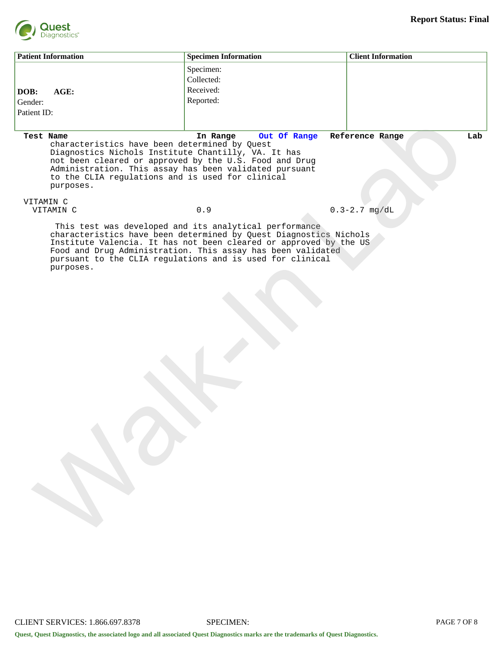

| <b>Patient Information</b>                                                                                                                                                         | <b>Specimen Information</b>                                                                                                                                                                   | <b>Client Information</b> |
|------------------------------------------------------------------------------------------------------------------------------------------------------------------------------------|-----------------------------------------------------------------------------------------------------------------------------------------------------------------------------------------------|---------------------------|
|                                                                                                                                                                                    | Specimen:                                                                                                                                                                                     |                           |
|                                                                                                                                                                                    | Collected:                                                                                                                                                                                    |                           |
|                                                                                                                                                                                    | Received:                                                                                                                                                                                     |                           |
| DOB:<br>AGE:                                                                                                                                                                       |                                                                                                                                                                                               |                           |
| Gender:                                                                                                                                                                            | Reported:                                                                                                                                                                                     |                           |
| Patient ID:                                                                                                                                                                        |                                                                                                                                                                                               |                           |
|                                                                                                                                                                                    |                                                                                                                                                                                               |                           |
| Test Name<br>characteristics have been determined by Quest<br>Diagnostics Nichols Institute Chantilly, VA. It has<br>to the CLIA regulations and is used for clinical<br>purposes. | Out Of Range<br>In Range<br>not been cleared or approved by the U.S. Food and Drug<br>Administration. This assay has been validated pursuant                                                  | Reference Range<br>Lab    |
| VITAMIN C<br>VITAMIN C                                                                                                                                                             | $0.9$                                                                                                                                                                                         | $0.3 - 2.7$ mg/dL         |
|                                                                                                                                                                                    |                                                                                                                                                                                               |                           |
| purposes.                                                                                                                                                                          | Institute Valencia. It has not been cleared or approved by the US<br>Food and Drug Administration. This assay has been validated<br>pursuant to the CLIA regulations and is used for clinical |                           |